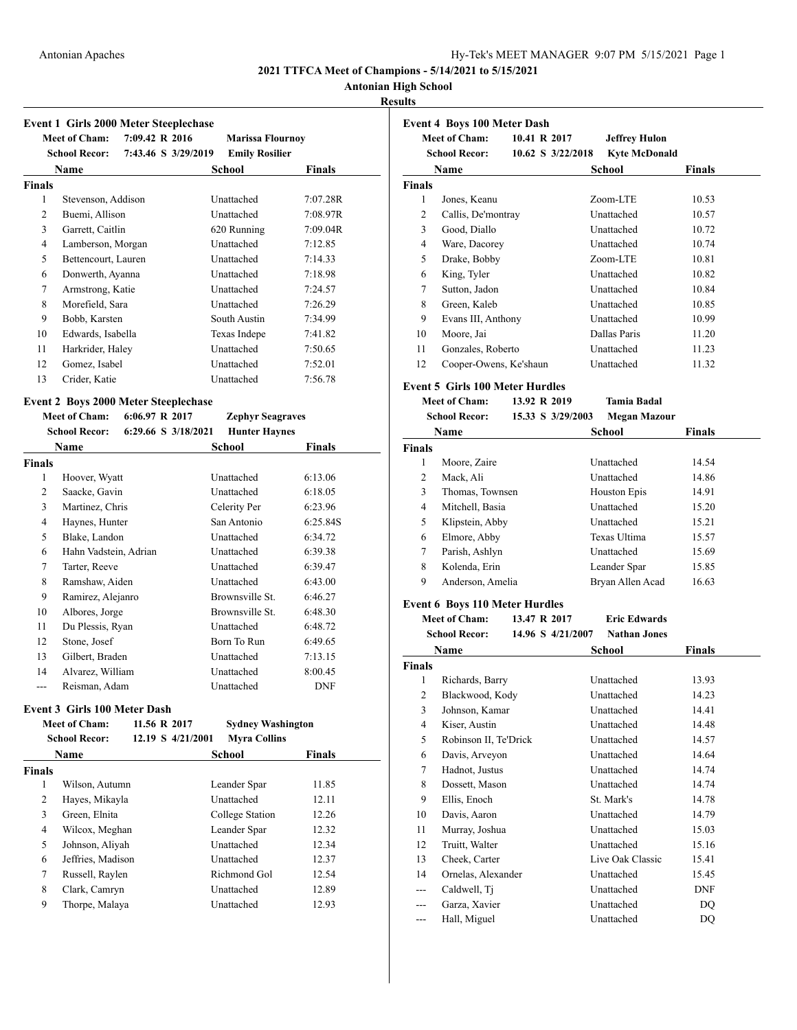#### Antonian Apaches Hy-Tek's MEET MANAGER 9:07 PM 5/15/2021 Page 1

**2021 TTFCA Meet of Champions - 5/14/2021 to 5/15/2021**

### **Antonian High School**

### **Results**

|                | <b>Event 1 Girls 2000 Meter Steeplechase</b> |                |                     |                          |               |
|----------------|----------------------------------------------|----------------|---------------------|--------------------------|---------------|
|                | <b>Meet of Cham:</b>                         | 7:09.42 R 2016 |                     | <b>Marissa Flournoy</b>  |               |
|                | <b>School Recor:</b>                         |                | 7:43.46 S 3/29/2019 | <b>Emily Rosilier</b>    |               |
|                | Name                                         |                |                     | School                   | <b>Finals</b> |
| <b>Finals</b>  |                                              |                |                     |                          |               |
| 1              | Stevenson, Addison                           |                |                     | Unattached               | 7:07.28R      |
| $\overline{c}$ | Buemi, Allison                               |                |                     | Unattached               | 7:08.97R      |
| 3              | Garrett, Caitlin                             |                |                     | 620 Running              | 7:09.04R      |
| 4              | Lamberson, Morgan                            |                |                     | Unattached               | 7:12.85       |
| 5              | Bettencourt, Lauren                          |                |                     | Unattached               | 7:14.33       |
| 6              | Donwerth, Ayanna                             |                |                     | Unattached               | 7:18.98       |
| $\overline{7}$ | Armstrong, Katie                             |                |                     | Unattached               | 7:24.57       |
| 8              | Morefield, Sara                              |                |                     | Unattached               | 7:26.29       |
| 9              | Bobb, Karsten                                |                |                     | South Austin             | 7:34.99       |
| 10             | Edwards, Isabella                            |                |                     | Texas Indepe             | 7:41.82       |
| 11             | Harkrider, Haley                             |                |                     | Unattached               | 7:50.65       |
| 12             | Gomez, Isabel                                |                |                     | Unattached               | 7:52.01       |
| 13             | Crider, Katie                                |                |                     | Unattached               | 7:56.78       |
|                | <b>Event 2 Boys 2000 Meter Steeplechase</b>  |                |                     |                          |               |
|                | <b>Meet of Cham:</b>                         | 6:06.97 R 2017 |                     | <b>Zephyr Seagraves</b>  |               |
|                | <b>School Recor:</b>                         |                | 6:29.66 S 3/18/2021 | <b>Hunter Haynes</b>     |               |
|                | Name                                         |                |                     | School                   | <b>Finals</b> |
| <b>Finals</b>  |                                              |                |                     |                          |               |
| 1              | Hoover, Wyatt                                |                |                     | Unattached               | 6:13.06       |
| $\overline{2}$ | Saacke, Gavin                                |                |                     | Unattached               | 6:18.05       |
| 3              | Martinez, Chris                              |                |                     | Celerity Per             | 6:23.96       |
| 4              | Haynes, Hunter                               |                |                     | San Antonio              | 6:25.84S      |
| 5              | Blake, Landon                                |                |                     | Unattached               | 6:34.72       |
| 6              | Hahn Vadstein, Adrian                        |                |                     | Unattached               | 6:39.38       |
| 7              | Tarter, Reeve                                |                |                     | Unattached               | 6:39.47       |
| 8              | Ramshaw, Aiden                               |                |                     | Unattached               | 6:43.00       |
| 9              | Ramirez, Alejanro                            |                |                     | Brownsville St.          | 6:46.27       |
| 10             | Albores, Jorge                               |                |                     | Brownsville St.          | 6:48.30       |
| 11             | Du Plessis, Ryan                             |                |                     | Unattached               | 6:48.72       |
| 12             | Stone, Josef                                 |                |                     | Born To Run              | 6:49.65       |
| 13             | Gilbert, Braden                              |                |                     | Unattached               | 7:13.15       |
| 14             | Alvarez, William                             |                |                     | Unattached               | 8:00.45       |
| $\overline{a}$ | Reisman, Adam                                |                |                     | Unattached               | <b>DNF</b>    |
|                |                                              |                |                     |                          |               |
|                | Event 3 Girls 100 Meter Dash                 |                |                     |                          |               |
|                | <b>Meet of Cham:</b>                         |                | 11.56 R 2017        | <b>Sydney Washington</b> |               |
|                | <b>School Recor:</b>                         |                | 12.19 S 4/21/2001   | <b>Myra Collins</b>      |               |
|                | Name                                         |                |                     | School                   | <b>Finals</b> |
| <b>Finals</b>  |                                              |                |                     |                          |               |
| 1              | Wilson, Autumn                               |                |                     | Leander Spar             | 11.85         |

 Hayes, Mikayla Unattached 12.11 Green, Elnita College Station 12.26 Wilcox, Meghan Leander Spar 12.32 Johnson, Aliyah Unattached 12.34 Jeffries, Madison Unattached 12.37 7 Russell, Raylen Richmond Gol 12.54 Clark, Camryn Unattached 12.89 Thorpe, Malaya Unattached 12.93

|        | <b>Meet of Cham:</b>   | 10.41 R 2017 | <b>Jeffrey Hulon</b>                          |               |
|--------|------------------------|--------------|-----------------------------------------------|---------------|
|        | <b>School Recor:</b>   |              | $10.62$ S $3/22/2018$<br><b>Kyte McDonald</b> |               |
|        | Name                   |              | School                                        | <b>Finals</b> |
| Finals |                        |              |                                               |               |
| 1      | Jones, Keanu           |              | Zoom-LTE                                      | 10.53         |
| 2      | Callis, De'montray     |              | Unattached                                    | 10.57         |
| 3      | Good, Diallo           |              | Unattached                                    | 10.72         |
| 4      | Ware, Dacorey          |              | Unattached                                    | 10.74         |
| 5      | Drake, Bobby           |              | Zoom-LTE                                      | 10.81         |
| 6      | King, Tyler            |              | Unattached                                    | 10.82         |
| 7      | Sutton, Jadon          |              | Unattached                                    | 10.84         |
| 8      | Green, Kaleb           |              | Unattached                                    | 10.85         |
| 9      | Evans III, Anthony     |              | Unattached                                    | 10.99         |
| 10     | Moore, Jai             |              | Dallas Paris                                  | 11.20         |
| 11     | Gonzales, Roberto      |              | Unattached                                    | 11.23         |
| 12     | Cooper-Owens, Ke'shaun |              | Unattached                                    | 11.32         |

#### **Event 5 Girls 100 Meter Hurdles**<br>Meet of Cham: 13.92 R 2019 **Meet of Cham: 13.92 R 2019 Tamia Badal**

|               | тиесь от улганы      | 13.74 N 4017      | ташта тачат         |        |
|---------------|----------------------|-------------------|---------------------|--------|
|               | <b>School Recor:</b> | 15.33 S 3/29/2003 | <b>Megan Mazour</b> |        |
|               | Name                 |                   | School              | Finals |
| <b>Finals</b> |                      |                   |                     |        |
| 1             | Moore, Zaire         |                   | Unattached          | 14.54  |
| 2             | Mack, Ali            |                   | Unattached          | 14.86  |
| 3             | Thomas, Townsen      |                   | <b>Houston Epis</b> | 14.91  |
| 4             | Mitchell, Basia      |                   | Unattached          | 15.20  |
| 5             | Klipstein, Abby      |                   | Unattached          | 15.21  |
| 6             | Elmore, Abby         |                   | Texas Ultima        | 15.57  |
| $\tau$        | Parish, Ashlyn       |                   | Unattached          | 15.69  |
| 8             | Kolenda, Erin        |                   | Leander Spar        | 15.85  |
| 9             | Anderson, Amelia     |                   | Bryan Allen Acad    | 16.63  |
|               |                      |                   |                     |        |

### **Event 6 Boys 110 Meter Hurdles**

**Meet of Cham: 13.47 R 2017 Eric Edwards**

|                | <b>School Recor:</b><br>14.96 S 4/21/2007<br><b>Nathan Jones</b> |                  |            |  |  |
|----------------|------------------------------------------------------------------|------------------|------------|--|--|
|                | Name                                                             | <b>School</b>    | Finals     |  |  |
| <b>Finals</b>  |                                                                  |                  |            |  |  |
| 1              | Richards, Barry                                                  | Unattached       | 13.93      |  |  |
| $\overline{2}$ | Blackwood, Kody                                                  | Unattached       | 14.23      |  |  |
| 3              | Johnson, Kamar                                                   | Unattached       | 14.41      |  |  |
| 4              | Kiser, Austin                                                    | Unattached       | 14.48      |  |  |
| 5              | Robinson II, Te'Drick                                            | Unattached       | 14.57      |  |  |
| 6              | Davis, Arveyon                                                   | Unattached       | 14.64      |  |  |
| 7              | Hadnot, Justus                                                   | Unattached       | 14.74      |  |  |
| 8              | Dossett, Mason                                                   | Unattached       | 14.74      |  |  |
| 9              | Ellis, Enoch                                                     | St. Mark's       | 14.78      |  |  |
| 10             | Davis, Aaron                                                     | Unattached       | 14.79      |  |  |
| 11             | Murray, Joshua                                                   | Unattached       | 15.03      |  |  |
| 12             | Truitt, Walter                                                   | Unattached       | 15.16      |  |  |
| 13             | Cheek, Carter                                                    | Live Oak Classic | 15.41      |  |  |
| 14             | Ornelas, Alexander                                               | Unattached       | 15.45      |  |  |
| ---            | Caldwell, Ti                                                     | Unattached       | <b>DNF</b> |  |  |
| ---            | Garza, Xavier                                                    | Unattached       | DQ         |  |  |
|                | Hall, Miguel                                                     | Unattached       | DQ         |  |  |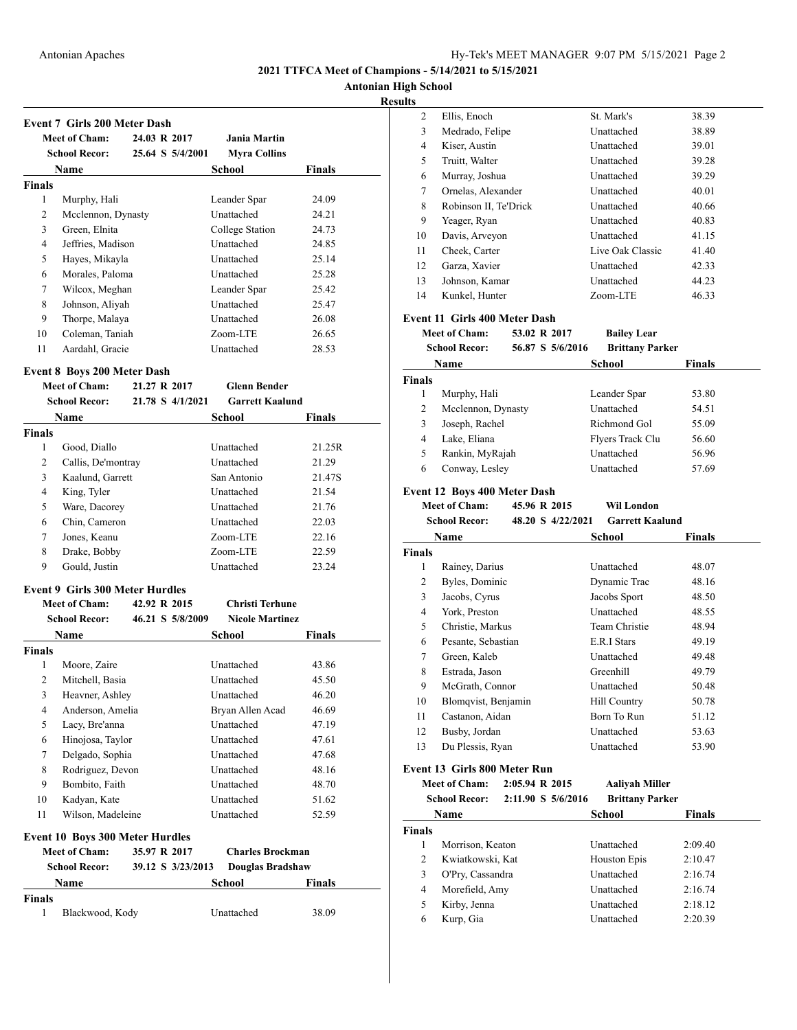**Antonian High School**

### **Results**

|               | <b>Meet of Cham:</b>               | 24.03 R 2017     | <b>Jania Martin</b>    |        |
|---------------|------------------------------------|------------------|------------------------|--------|
|               | <b>School Recor:</b>               | 25.64 S 5/4/2001 | <b>Myra Collins</b>    |        |
|               | Name                               |                  | School                 | Finals |
| <b>Finals</b> |                                    |                  |                        |        |
| 1             | Murphy, Hali                       |                  | Leander Spar           | 24.09  |
| 2             | Mcclennon, Dynasty                 |                  | Unattached             | 24.21  |
| 3             | Green, Elnita                      |                  | College Station        | 24.73  |
| 4             | Jeffries, Madison                  |                  | Unattached             | 24.85  |
| 5             | Hayes, Mikayla                     |                  | Unattached             | 25.14  |
| 6             | Morales, Paloma                    |                  | Unattached             | 25.28  |
| 7             | Wilcox, Meghan                     |                  | Leander Spar           | 25.42  |
| 8             | Johnson, Aliyah                    |                  | Unattached             | 25.47  |
| 9             | Thorpe, Malaya                     |                  | Unattached             | 26.08  |
| 10            | Coleman, Taniah                    |                  | Zoom-LTE               | 26.65  |
| 11            | Aardahl, Gracie                    |                  | Unattached             | 28.53  |
|               | <b>Event 8 Boys 200 Meter Dash</b> |                  |                        |        |
|               | <b>Meet of Cham:</b>               | 21.27 R 2017     | <b>Glenn Bender</b>    |        |
|               | <b>School Recor:</b>               | 21.78 S 4/1/2021 | <b>Garrett Kaalund</b> |        |

| <b>School Recor:</b><br>Name |                                        | 21.78 S 4/1/2021  | <b>Garrett Kaalund</b>  |               |
|------------------------------|----------------------------------------|-------------------|-------------------------|---------------|
|                              |                                        |                   | <b>School</b>           | <b>Finals</b> |
| <b>Finals</b>                |                                        |                   |                         |               |
| 1                            | Good, Diallo                           |                   | Unattached              | 21.25R        |
| 2                            | Callis, De'montray                     |                   | Unattached              | 21.29         |
| 3                            | Kaalund, Garrett                       |                   | San Antonio             | 21.47S        |
| 4                            | King, Tyler                            |                   | Unattached              | 21.54         |
| 5                            | Ware, Dacorey                          |                   | Unattached              | 21.76         |
| 6                            | Chin, Cameron                          |                   | Unattached              | 22.03         |
| 7                            | Jones, Keanu                           |                   | Zoom-LTE                | 22.16         |
| 8                            | Drake, Bobby                           |                   | Zoom-LTE                | 22.59         |
| 9                            | Gould, Justin                          |                   | Unattached              | 23.24         |
|                              | <b>Event 9 Girls 300 Meter Hurdles</b> |                   |                         |               |
|                              | <b>Meet of Cham:</b>                   | 42.92 R 2015      | <b>Christi Terhune</b>  |               |
|                              | <b>School Recor:</b>                   | 46.21 S 5/8/2009  | <b>Nicole Martinez</b>  |               |
|                              | Name                                   |                   | <b>School</b>           | <b>Finals</b> |
| <b>Finals</b>                |                                        |                   |                         |               |
| 1                            | Moore, Zaire                           |                   | Unattached              | 43.86         |
| 2                            | Mitchell, Basia                        |                   | Unattached              | 45.50         |
| 3                            | Heavner, Ashley                        |                   | Unattached              | 46.20         |
| 4                            | Anderson, Amelia                       |                   | Bryan Allen Acad        | 46.69         |
| 5                            | Lacy, Bre'anna                         |                   | Unattached              | 47.19         |
| 6                            | Hinojosa, Taylor                       |                   | Unattached              | 47.61         |
| 7                            | Delgado, Sophia                        |                   | Unattached              | 47.68         |
| 8                            | Rodriguez, Devon                       |                   | Unattached              | 48.16         |
| 9                            | Bombito, Faith                         |                   | Unattached              | 48.70         |
| 10                           | Kadyan, Kate                           |                   | Unattached              | 51.62         |
| 11                           | Wilson, Madeleine                      |                   | Unattached              | 52.59         |
|                              | <b>Event 10 Boys 300 Meter Hurdles</b> |                   |                         |               |
|                              | <b>Meet of Cham:</b>                   | 35.97 R 2017      | <b>Charles Brockman</b> |               |
|                              | <b>School Recor:</b>                   | 39.12 S 3/23/2013 | <b>Douglas Bradshaw</b> |               |
|                              | Name                                   |                   | <b>School</b>           | <b>Finals</b> |
| <b>Finals</b>                |                                        |                   |                         |               |
| $\mathbf{1}$                 | Blackwood, Kody                        |                   | Unattached              | 38.09         |
|                              |                                        |                   |                         |               |

| 2                       | Ellis, Enoch                         |                    | St. Mark's               | 38.39              |
|-------------------------|--------------------------------------|--------------------|--------------------------|--------------------|
| 3                       | Medrado, Felipe                      |                    | Unattached               | 38.89              |
| 4                       | Kiser, Austin                        |                    | Unattached               | 39.01              |
| 5                       | Truitt, Walter                       |                    | Unattached               | 39.28              |
| 6                       | Murray, Joshua                       |                    | Unattached               | 39.29              |
| 7                       | Ornelas, Alexander                   |                    | Unattached               | 40.01              |
| 8                       | Robinson II, Te'Drick                |                    | Unattached               | 40.66              |
| 9                       | Yeager, Ryan                         |                    | Unattached               | 40.83              |
| 10                      | Davis, Arveyon                       |                    | Unattached               | 41.15              |
| 11                      | Cheek, Carter                        |                    | Live Oak Classic         | 41.40              |
| 12                      | Garza, Xavier                        |                    | Unattached               | 42.33              |
| 13                      | Johnson, Kamar                       |                    | Unattached               | 44.23              |
| 14                      | Kunkel, Hunter                       |                    | Zoom-LTE                 | 46.33              |
|                         |                                      |                    |                          |                    |
|                         | <b>Event 11 Girls 400 Meter Dash</b> |                    |                          |                    |
|                         | <b>Meet of Cham:</b>                 | 53.02 R 2017       | <b>Bailey Lear</b>       |                    |
|                         | <b>School Recor:</b>                 | 56.87 S 5/6/2016   | <b>Brittany Parker</b>   |                    |
|                         | Name                                 |                    | School                   | Finals             |
| <b>Finals</b>           |                                      |                    |                          |                    |
| 1                       | Murphy, Hali                         |                    | Leander Spar             | 53.80              |
| 2                       | Mcclennon, Dynasty                   |                    | Unattached               | 54.51              |
| 3                       | Joseph, Rachel                       |                    | Richmond Gol             | 55.09              |
| 4                       | Lake, Eliana                         |                    | Flyers Track Clu         | 56.60              |
| 5                       | Rankin, MyRajah                      |                    | Unattached               | 56.96              |
| 6                       | Conway, Lesley                       |                    | Unattached               | 57.69              |
|                         |                                      |                    |                          |                    |
|                         | <b>Event 12 Boys 400 Meter Dash</b>  |                    |                          |                    |
|                         | <b>Meet of Cham:</b>                 | 45.96 R 2015       | Wil London               |                    |
|                         |                                      |                    |                          |                    |
|                         | <b>School Recor:</b>                 | 48.20 S 4/22/2021  | <b>Garrett Kaalund</b>   |                    |
|                         | Name                                 |                    | School                   | Finals             |
| Finals                  |                                      |                    |                          |                    |
| 1                       | Rainey, Darius                       |                    | Unattached               | 48.07              |
| 2                       | Byles, Dominic                       |                    | Dynamic Trac             | 48.16              |
| 3                       | Jacobs, Cyrus                        |                    | Jacobs Sport             | 48.50              |
| 4                       | York, Preston                        |                    | Unattached               | 48.55              |
| 5                       | Christie, Markus                     |                    | Team Christie            | 48.94              |
| 6                       | Pesante, Sebastian                   |                    | E.R.I Stars              | 49.19              |
| 7                       | Green, Kaleb                         |                    | Unattached               | 49.48              |
| 8                       | Estrada, Jason                       |                    | Greenhill                | 49.79              |
| 9                       | McGrath, Connor                      |                    | Unattached               | 50.48              |
| 10                      | Blomqvist, Benjamin                  |                    | <b>Hill Country</b>      | 50.78              |
| 11                      | Castanon, Aidan                      |                    | Born To Run              | 51.12              |
| 12                      | Busby, Jordan                        |                    | Unattached               | 53.63              |
| 13                      | Du Plessis, Ryan                     |                    | Unattached               | 53.90              |
|                         |                                      |                    |                          |                    |
|                         | Event 13 Girls 800 Meter Run         |                    |                          |                    |
|                         | <b>Meet of Cham:</b>                 | 2:05.94 R 2015     | <b>Aaliyah Miller</b>    |                    |
|                         | <b>School Recor:</b>                 | 2:11.90 S 5/6/2016 | <b>Brittany Parker</b>   |                    |
|                         | Name                                 |                    | School                   | Finals             |
| <b>Finals</b>           |                                      |                    |                          |                    |
| 1                       | Morrison, Keaton                     |                    | Unattached               | 2:09.40            |
| $\overline{\mathbf{c}}$ | Kwiatkowski, Kat                     |                    | Houston Epis             | 2:10.47            |
| 3                       | O'Pry, Cassandra                     |                    | Unattached               | 2:16.74            |
| 4                       | Morefield, Amy                       |                    | Unattached               | 2:16.74            |
| 5<br>6                  | Kirby, Jenna<br>Kurp, Gia            |                    | Unattached<br>Unattached | 2:18.12<br>2:20.39 |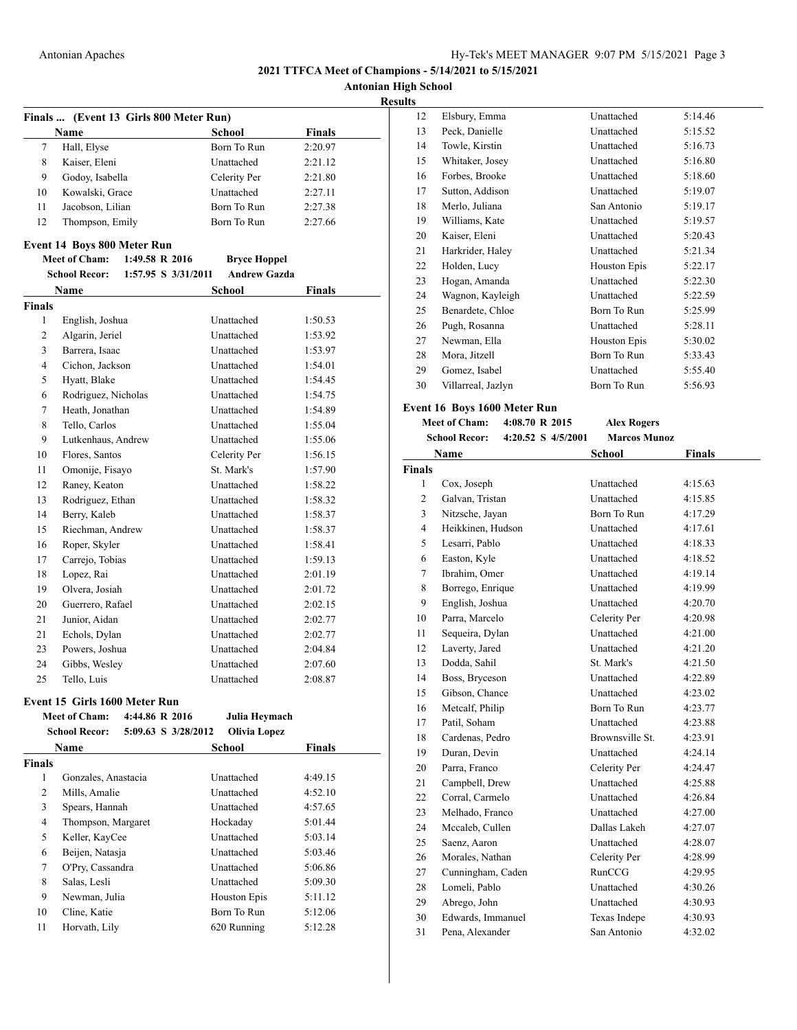**Antonian High School Results**

|                |                                    |                                        |                     |               | R |
|----------------|------------------------------------|----------------------------------------|---------------------|---------------|---|
|                |                                    | Finals  (Event 13 Girls 800 Meter Run) |                     |               |   |
|                | Name                               |                                        | <b>School</b>       | <b>Finals</b> |   |
| 7              | Hall, Elyse                        |                                        | Born To Run         | 2:20.97       |   |
| 8              | Kaiser, Eleni                      |                                        | Unattached          | 2:21.12       |   |
| 9              | Godov, Isabella                    |                                        | Celerity Per        | 2:21.80       |   |
| 10             | Kowalski, Grace                    |                                        | Unattached          | 2:27.11       |   |
| 11             | Jacobson, Lilian                   |                                        | Born To Run         | 2:27.38       |   |
| 12             | Thompson, Emily                    |                                        | Born To Run         | 2:27.66       |   |
|                | <b>Event 14 Boys 800 Meter Run</b> |                                        |                     |               |   |
|                | <b>Meet of Cham:</b>               | 1:49.58 R 2016                         | <b>Bryce Hoppel</b> |               |   |
|                | School Recor:                      | 1:57.95 S 3/31/2011                    | <b>Andrew Gazda</b> |               |   |
|                | Name                               |                                        | School              | Finals        |   |
| <b>Finals</b>  |                                    |                                        |                     |               |   |
| 1              | English, Joshua                    |                                        | Unattached          | 1:50.53       |   |
| 2              | Algarin, Jeriel                    |                                        | Unattached          | 1:53.92       |   |
| 3              | Barrera, Isaac                     |                                        | Unattached          | 1:53.97       |   |
| 4              | Cichon. Jackson                    |                                        | Unattached          | 1:54.01       |   |
| 5              | Hyatt, Blake                       |                                        | Unattached          | 1:54.45       |   |
| 6              | Rodriguez, Nicholas                |                                        | Unattached          | 1:54.75       |   |
| 7              | Heath, Jonathan                    |                                        | Unattached          | 1:54.89       |   |
| 8              | Tello, Carlos                      |                                        | Unattached          | 1:55.04       |   |
| 9              | Lutkenhaus, Andrew                 |                                        | Unattached          | 1:55.06       |   |
| 10             | Flores, Santos                     |                                        | Celerity Per        | 1:56.15       |   |
| 11             | Omonije, Fisayo                    |                                        | St. Mark's          | 1:57.90       |   |
| 12             | Raney, Keaton                      |                                        | Unattached          | 1:58.22       |   |
| 13             | Rodriguez, Ethan                   |                                        | Unattached          | 1:58.32       |   |
| 14             | Berry, Kaleb                       |                                        | Unattached          | 1:58.37       |   |
| 15             | Riechman, Andrew                   |                                        | Unattached          | 1:58.37       |   |
| 16             | Roper, Skyler                      |                                        | Unattached          | 1:58.41       |   |
| 17             | Carrejo, Tobias                    |                                        | Unattached          | 1:59.13       |   |
| 18             | Lopez, Rai                         |                                        | Unattached          | 2:01.19       |   |
| 19             | Olvera, Josiah                     |                                        | Unattached          | 2:01.72       |   |
| 20             | Guerrero, Rafael                   |                                        | Unattached          | 2:02.15       |   |
| 21             | Junior, Aidan                      |                                        | Unattached          | 2:02.77       |   |
| 21             | Echols, Dylan                      |                                        | Unattached          | 2:02.77       |   |
| 23             | Powers, Joshua                     |                                        | Unattached          | 2:04.84       |   |
| 24             | Gibbs, Wesley                      |                                        | Unattached          | 2:07.60       |   |
| 25             | Tello, Luis                        |                                        | Unattached          | 2:08.87       |   |
|                |                                    |                                        |                     |               |   |
|                | Event 15 Girls 1600 Meter Run      |                                        |                     |               |   |
|                | Meet of Cham:                      | 4:44.86 R 2016                         | Julia Hevmach       |               |   |
|                | <b>School Recor:</b>               | 5:09.63 S 3/28/2012                    | <b>Olivia Lopez</b> |               |   |
|                | Name                               |                                        | School              | Finals        |   |
| <b>Finals</b>  |                                    |                                        |                     |               |   |
| $\mathbf{1}$   | Gonzales, Anastacia                |                                        | Unattached          | 4:49.15       |   |
| $\overline{c}$ | Mills, Amalie                      |                                        | Unattached          | 4:52.10       |   |
| 3              | Spears, Hannah                     |                                        | Unattached          | 4:57.65       |   |
| 4              | Thompson, Margaret                 |                                        | Hockaday            | 5:01.44       |   |
| 5              | Keller, KayCee                     |                                        | Unattached          | 5:03.14       |   |
| 6              | Beijen, Natasja                    |                                        | Unattached          | 5:03.46       |   |
| 7              | O'Pry, Cassandra                   |                                        | Unattached          | 5:06.86       |   |
| 8              | Salas, Lesli                       |                                        | Unattached          | 5:09.30       |   |
| 9              | Newman, Julia                      |                                        | Houston Epis        | 5:11.12       |   |
| 10             | Cline, Katie                       |                                        | Born To Run         | 5:12.06       |   |

Horvath, Lily 620 Running 5:12.28

| s  |                    |              |         |
|----|--------------------|--------------|---------|
| 12 | Elsbury, Emma      | Unattached   | 5:14.46 |
| 13 | Peck, Danielle     | Unattached   | 5:15.52 |
| 14 | Towle, Kirstin     | Unattached   | 5:16.73 |
| 15 | Whitaker, Josey    | Unattached   | 5:16.80 |
| 16 | Forbes, Brooke     | Unattached   | 5:18.60 |
| 17 | Sutton, Addison    | Unattached   | 5:19.07 |
| 18 | Merlo, Juliana     | San Antonio  | 5:19.17 |
| 19 | Williams, Kate     | Unattached   | 5:19.57 |
| 20 | Kaiser, Eleni      | Unattached   | 5:20.43 |
| 21 | Harkrider, Haley   | Unattached   | 5:21.34 |
| 22 | Holden, Lucy       | Houston Epis | 5:22.17 |
| 23 | Hogan, Amanda      | Unattached   | 5:22.30 |
| 24 | Wagnon, Kayleigh   | Unattached   | 5:22.59 |
| 25 | Benardete, Chloe   | Born To Run  | 5:25.99 |
| 26 | Pugh, Rosanna      | Unattached   | 5:28.11 |
| 27 | Newman, Ella       | Houston Epis | 5:30.02 |
| 28 | Mora, Jitzell      | Born To Run  | 5:33.43 |
| 29 | Gomez, Isabel      | Unattached   | 5:55.40 |
| 30 | Villarreal, Jazlyn | Born To Run  | 5:56.93 |
|    |                    |              |         |

### **Event 16 Boys 1600 Meter Run**

**Meet of Cham: 4:08.70 R 2015 Alex Rogers School Recor: 4:20.52 S 4/5/2001 Marcos Munoz**

|                | <b>Name</b>       | School          | <b>Finals</b> |
|----------------|-------------------|-----------------|---------------|
| <b>Finals</b>  |                   |                 |               |
| $\mathbf{1}$   | Cox, Joseph       | Unattached      | 4:15.63       |
| $\overline{2}$ | Galvan, Tristan   | Unattached      | 4:15.85       |
| 3              | Nitzsche, Jayan   | Born To Run     | 4:17.29       |
| $\overline{4}$ | Heikkinen, Hudson | Unattached      | 4:17.61       |
| 5              | Lesarri, Pablo    | Unattached      | 4:18.33       |
| 6              | Easton, Kyle      | Unattached      | 4:18.52       |
| 7              | Ibrahim, Omer     | Unattached      | 4:19.14       |
| 8              | Borrego, Enrique  | Unattached      | 4:19.99       |
| 9              | English, Joshua   | Unattached      | 4:20.70       |
| 10             | Parra, Marcelo    | Celerity Per    | 4:20.98       |
| 11             | Sequeira, Dylan   | Unattached      | 4:21.00       |
| 12             | Laverty, Jared    | Unattached      | 4:21.20       |
| 13             | Dodda, Sahil      | St. Mark's      | 4:21.50       |
| 14             | Boss, Bryceson    | Unattached      | 4:22.89       |
| 15             | Gibson, Chance    | Unattached      | 4:23.02       |
| 16             | Metcalf, Philip   | Born To Run     | 4:23.77       |
| 17             | Patil, Soham      | Unattached      | 4:23.88       |
| 18             | Cardenas, Pedro   | Brownsville St. | 4:23.91       |
| 19             | Duran, Devin      | Unattached      | 4:24.14       |
| 20             | Parra, Franco     | Celerity Per    | 4:24.47       |
| 21             | Campbell, Drew    | Unattached      | 4:25.88       |
| 22             | Corral, Carmelo   | Unattached      | 4:26.84       |
| 23             | Melhado, Franco   | Unattached      | 4:27.00       |
| 24             | Mccaleb, Cullen   | Dallas Lakeh    | 4:27.07       |
| 25             | Saenz, Aaron      | Unattached      | 4:28.07       |
| 26             | Morales, Nathan   | Celerity Per    | 4:28.99       |
| 27             | Cunningham, Caden | RunCCG          | 4:29.95       |
| 28             | Lomeli, Pablo     | Unattached      | 4:30.26       |
| 29             | Abrego, John      | Unattached      | 4:30.93       |
| 30             | Edwards, Immanuel | Texas Indepe    | 4:30.93       |
| 31             | Pena. Alexander   | San Antonio     | 4:32.02       |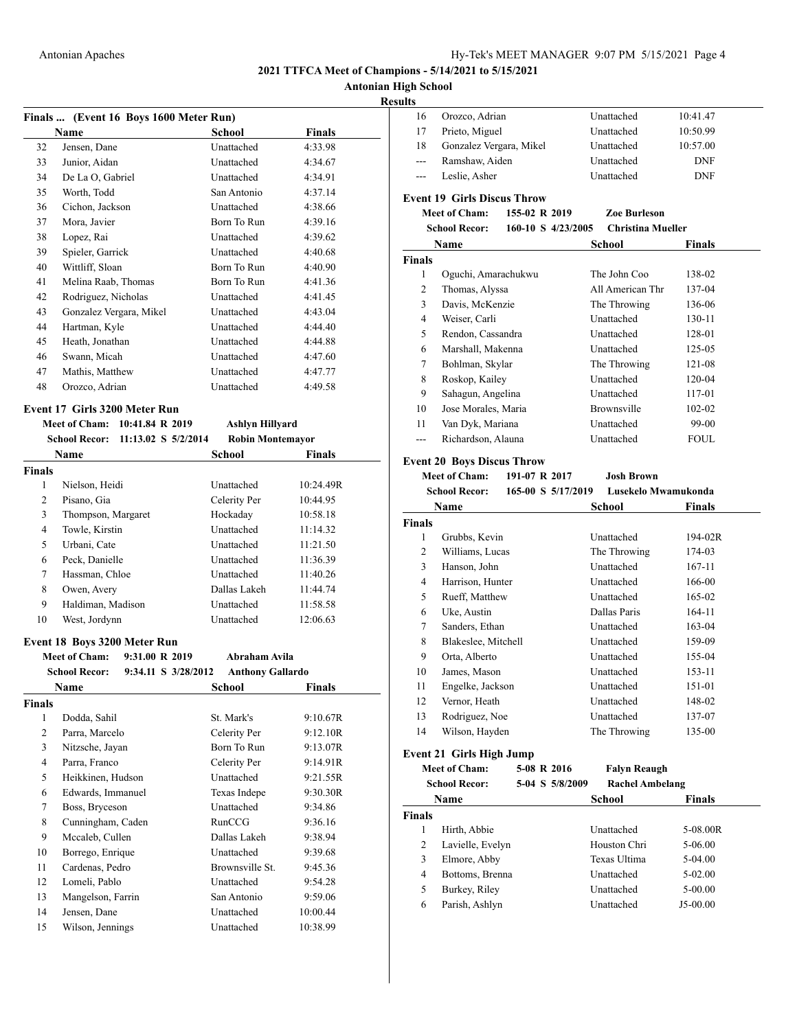# **Antonian High School**

### **Resu**

|                | Finals  (Event 16 Boys 1600 Meter Run)      |                         |               |
|----------------|---------------------------------------------|-------------------------|---------------|
|                | Name                                        | School                  | <b>Finals</b> |
| 32             | Jensen, Dane                                | Unattached              | 4:33.98       |
| 33             | Junior, Aidan                               | Unattached              | 4:34.67       |
| 34             | De La O, Gabriel                            | Unattached              | 4:34.91       |
| 35             | Worth, Todd                                 | San Antonio             | 4:37.14       |
| 36             | Cichon, Jackson                             | Unattached              | 4:38.66       |
| 37             | Mora, Javier                                | Born To Run             | 4:39.16       |
| 38             | Lopez, Rai                                  | Unattached              | 4:39.62       |
| 39             | Spieler, Garrick                            | Unattached              | 4:40.68       |
| 40             | Wittliff, Sloan                             | Born To Run             | 4:40.90       |
| 41             | Melina Raab, Thomas                         | Born To Run             | 4:41.36       |
| 42             | Rodriguez, Nicholas                         | Unattached              | 4:41.45       |
| 43             | Gonzalez Vergara, Mikel                     | Unattached              | 4:43.04       |
| 44             | Hartman, Kyle                               | Unattached              | 4:44.40       |
| 45             | Heath, Jonathan                             | Unattached              | 4:44.88       |
| 46             | Swann, Micah                                | Unattached              | 4:47.60       |
| 47             | Mathis, Matthew                             | Unattached              | 4:47.77       |
| 48             | Orozco, Adrian                              | Unattached              | 4:49.58       |
|                |                                             |                         |               |
|                | Event 17 Girls 3200 Meter Run               |                         |               |
|                | Meet of Cham:<br>10:41.84 R 2019            | <b>Ashlyn Hillyard</b>  |               |
|                | <b>School Recor:</b><br>11:13.02 S 5/2/2014 | <b>Robin Montemayor</b> |               |
|                | Name                                        | School                  | Finals        |
| <b>Finals</b>  |                                             |                         |               |
| 1              | Nielson, Heidi                              | Unattached              | 10:24.49R     |
| $\overline{c}$ | Pisano, Gia                                 | Celerity Per            | 10:44.95      |
| 3              | Thompson, Margaret                          | Hockaday                | 10:58.18      |
| 4              | Towle, Kirstin                              | Unattached              | 11:14.32      |
| 5              | Urbani, Cate                                | Unattached              | 11:21.50      |
| 6              | Peck, Danielle                              | Unattached              | 11:36.39      |
| 7              | Hassman, Chloe                              | Unattached              | 11:40.26      |
| 8              | Owen, Avery                                 | Dallas Lakeh            | 11:44.74      |
| 9              | Haldiman, Madison                           | Unattached              | 11:58.58      |
| 10             | West, Jordynn                               | Unattached              | 12:06.63      |
|                |                                             |                         |               |
|                | Event 18 Boys 3200 Meter Run                |                         |               |
|                | <b>Meet of Cham:</b><br>9:31.00 R 2019      | Abraham Avila           |               |
|                | <b>School Recor:</b><br>9:34.11 S 3/28/2012 | <b>Anthony Gallardo</b> |               |
|                | Name                                        | School                  | <b>Finals</b> |
| <b>Finals</b>  |                                             |                         |               |
| 1              | Dodda, Sahil                                | St. Mark's              | 9:10.67R      |
| $\overline{c}$ | Parra, Marcelo                              | Celerity Per            | 9:12.10R      |
| 3              | Nitzsche, Javan                             | Born To Run             | 9:13.07R      |
| 4              | Parra, Franco                               | Celerity Per            | 9:14.91R      |
| 5              | Heikkinen, Hudson                           | Unattached              | 9:21.55R      |
| 6              | Edwards, Immanuel                           | Texas Indepe            | 9:30.30R      |
| 7              | Boss, Bryceson                              | Unattached              | 9:34.86       |
| 8              | Cunningham, Caden                           | RunCCG                  | 9:36.16       |
| 9              | Mccaleb, Cullen                             | Dallas Lakeh            | 9:38.94       |
| 10             | Borrego, Enrique                            | Unattached              | 9:39.68       |
| 11             | Cardenas, Pedro                             | Brownsville St.         | 9:45.36       |
| 12             | Lomeli, Pablo                               | Unattached              | 9:54.28       |
| 13             | Mangelson, Farrin                           | San Antonio             | 9:59.06       |
| 14             | Jensen, Dane                                | Unattached              | 10:00.44      |
| 15             | Wilson, Jennings                            | Unattached              | 10:38.99      |

| ıgn Scnool              |                                            |                          |                        |
|-------------------------|--------------------------------------------|--------------------------|------------------------|
| ılts<br>16              |                                            | Unattached               | 10:41.47               |
| 17                      | Orozco, Adrian<br>Prieto, Miguel           | Unattached               | 10:50.99               |
| 18                      |                                            | Unattached               |                        |
| ---                     | Gonzalez Vergara, Mikel<br>Ramshaw, Aiden  |                          | 10:57.00<br><b>DNF</b> |
|                         |                                            | Unattached<br>Unattached | DNF                    |
| ---                     | Leslie, Asher                              |                          |                        |
|                         | <b>Event 19 Girls Discus Throw</b>         |                          |                        |
|                         | <b>Meet of Cham:</b><br>155-02 R 2019      | Zoe Burleson             |                        |
|                         | <b>School Recor:</b><br>160-10 S 4/23/2005 | <b>Christina Mueller</b> |                        |
|                         | Name                                       | School                   | <b>Finals</b>          |
| Finals                  |                                            |                          |                        |
| 1                       | Oguchi, Amarachukwu                        | The John Coo             | 138-02                 |
| 2                       | Thomas, Alyssa                             | All American Thr         | 137-04                 |
| 3                       | Davis, McKenzie                            | The Throwing             | 136-06                 |
| 4                       | Weiser, Carli                              | Unattached               | 130-11                 |
| 5                       | Rendon, Cassandra                          | Unattached               | 128-01                 |
| 6                       | Marshall, Makenna                          | Unattached               | 125-05                 |
| 7                       | Bohlman, Skylar                            | The Throwing             | 121-08                 |
| 8                       | Roskop, Kailey                             | Unattached               | 120-04                 |
| 9                       | Sahagun, Angelina                          | Unattached               | 117-01                 |
| 10                      | Jose Morales, Maria                        | Brownsville              | 102-02                 |
| 11                      | Van Dyk, Mariana                           | Unattached               | 99-00                  |
| $---$                   | Richardson, Alauna                         | Unattached               | FOUL                   |
|                         | <b>Event 20 Boys Discus Throw</b>          |                          |                        |
|                         | <b>Meet of Cham:</b><br>191-07 R 2017      | <b>Josh Brown</b>        |                        |
|                         | <b>School Recor:</b><br>165-00 S 5/17/2019 | Lusekelo Mwamukonda      |                        |
|                         | Name                                       | School                   | Finals                 |
| <b>Finals</b>           |                                            |                          |                        |
| 1                       | Grubbs, Kevin                              | Unattached               | 194-02R                |
| 2                       | Williams, Lucas                            | The Throwing             | 174-03                 |
| 3                       | Hanson, John                               | Unattached               | 167-11                 |
| 4                       | Harrison, Hunter                           | Unattached               | 166-00                 |
| 5                       | Rueff, Matthew                             | Unattached               | 165-02                 |
| 6                       | Uke, Austin                                | Dallas Paris             | 164-11                 |
| 7                       | Sanders, Ethan                             | Unattached               | 163-04                 |
| 8                       | Blakeslee, Mitchell                        | Unattached               | 159-09                 |
| 9                       | Orta, Alberto                              | Unattached               | 155-04                 |
| 10                      | James, Mason                               | Unattached               | 153-11                 |
| 11                      | Engelke, Jackson                           | Unattached               | 151-01                 |
| 12                      | Vernor, Heath                              | Unattached               | 148-02                 |
| 13                      | Rodriguez, Noe                             | Unattached               | 137-07                 |
| 14                      | Wilson, Hayden                             | The Throwing             | 135-00                 |
|                         |                                            |                          |                        |
|                         | Event 21 Girls High Jump                   |                          |                        |
|                         | <b>Meet of Cham:</b><br>5-08 R 2016        | <b>Falyn Reaugh</b>      |                        |
|                         | 5-04 S 5/8/2009<br><b>School Recor:</b>    | <b>Rachel Ambelang</b>   |                        |
|                         | Name                                       | <b>School</b>            | <b>Finals</b>          |
| <b>Finals</b>           |                                            |                          |                        |
| 1                       | Hirth, Abbie                               | Unattached               | 5-08.00R               |
| $\overline{\mathbf{c}}$ | Lavielle, Evelyn                           | Houston Chri             | 5-06.00                |
| 3                       | Elmore, Abby                               | Texas Ultima             | 5-04.00                |
| 4                       | Bottoms, Brenna                            | Unattached               | 5-02.00                |
| 5                       | Burkey, Riley                              | Unattached               | 5-00.00                |
| 6                       | Parish, Ashlyn                             | Unattached               | J5-00.00               |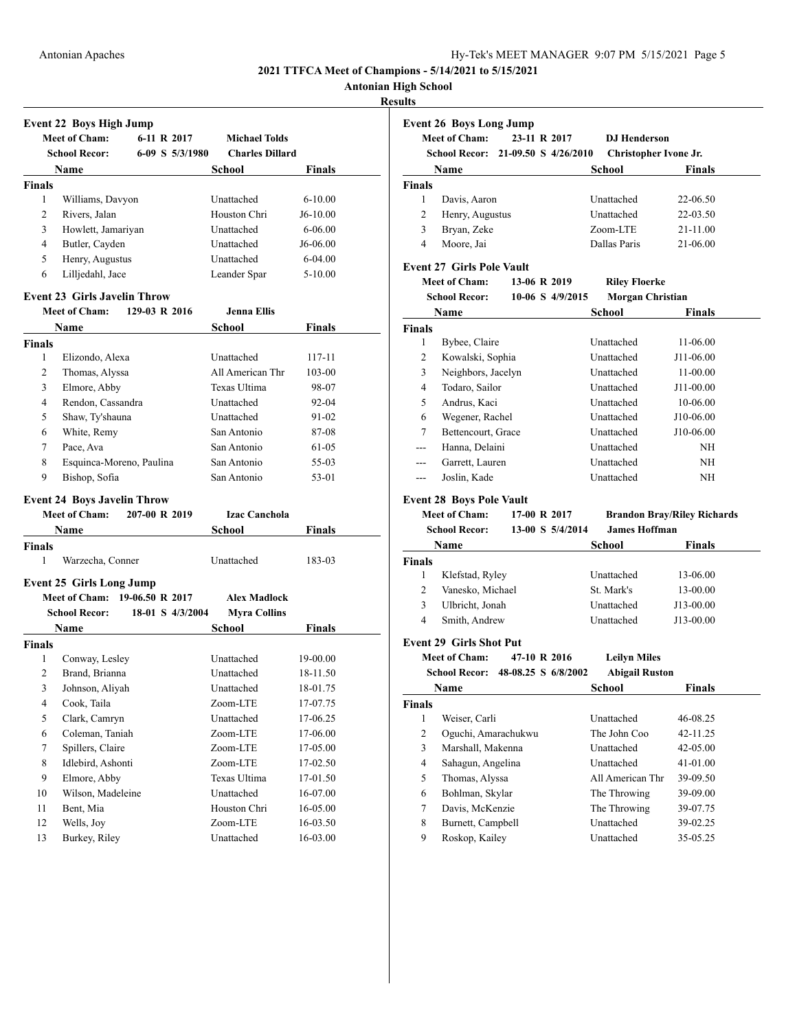|  | Hy-Tek's MEET MANAGER 9:07 PM 5/15/2021 Page 5 |  |  |
|--|------------------------------------------------|--|--|
|  |                                                |  |  |

**Antonian High School**

### **Results**

|                | <b>Event 22 Boys High Jump</b>      |                  |                        |               |
|----------------|-------------------------------------|------------------|------------------------|---------------|
|                | <b>Meet of Cham:</b>                | 6-11 R 2017      | <b>Michael Tolds</b>   |               |
|                | <b>School Recor:</b>                | 6-09 S 5/3/1980  | <b>Charles Dillard</b> |               |
|                | Name                                |                  | School                 | Finals        |
| <b>Finals</b>  |                                     |                  |                        |               |
| 1              | Williams, Davyon                    |                  | Unattached             | $6 - 10.00$   |
| 2              | Rivers, Jalan                       |                  | Houston Chri           | $J6-10.00$    |
| 3              | Howlett, Jamariyan                  |                  | Unattached             | $6 - 06.00$   |
| 4              | Butler, Cayden                      |                  | Unattached             | J6-06.00      |
| 5              | Henry, Augustus                     |                  | Unattached             | $6 - 04.00$   |
| 6              | Lilljedahl, Jace                    |                  | Leander Spar           | $5 - 10.00$   |
|                | <b>Event 23 Girls Javelin Throw</b> |                  |                        |               |
|                | <b>Meet of Cham:</b>                | 129-03 R 2016    | <b>Jenna Ellis</b>     |               |
|                | Name                                |                  | School                 | <b>Finals</b> |
| <b>Finals</b>  |                                     |                  |                        |               |
| 1              | Elizondo, Alexa                     |                  | Unattached             | 117-11        |
| 2              | Thomas, Alyssa                      |                  | All American Thr       | 103-00        |
| 3              | Elmore, Abby                        |                  | Texas Ultima           | 98-07         |
| 4              | Rendon, Cassandra                   |                  | Unattached             | 92-04         |
| 5              | Shaw, Ty'shauna                     |                  | Unattached             | 91-02         |
| 6              | White, Remy                         |                  | San Antonio            | 87-08         |
| 7              | Pace, Ava                           |                  | San Antonio            | 61-05         |
| 8              | Esquinca-Moreno, Paulina            |                  | San Antonio            | 55-03         |
| 9              | Bishop, Sofia                       |                  | San Antonio            | 53-01         |
|                | <b>Event 24 Boys Javelin Throw</b>  |                  |                        |               |
|                | <b>Meet of Cham:</b>                | 207-00 R 2019    | <b>Izac Canchola</b>   |               |
|                | Name                                |                  | School                 | Finals        |
| <b>Finals</b>  |                                     |                  |                        |               |
| 1              | Warzecha, Conner                    |                  | Unattached             | 183-03        |
|                | <b>Event 25 Girls Long Jump</b>     |                  |                        |               |
|                | <b>Meet of Cham:</b>                | 19-06.50 R 2017  | <b>Alex Madlock</b>    |               |
|                | <b>School Recor:</b>                | 18-01 S 4/3/2004 | <b>Myra Collins</b>    |               |
|                | <b>Name</b>                         |                  | School                 | <b>Finals</b> |
| <b>Finals</b>  |                                     |                  |                        |               |
| 1              | Conway, Lesley                      |                  | Unattached             | 19-00.00      |
| $\overline{2}$ | Brand, Brianna                      |                  | Unattached             | 18-11.50      |
| 3              | Johnson, Aliyah                     |                  | Unattached             | 18-01.75      |
| 4              | Cook, Taila                         |                  | Zoom-LTE               | 17-07.75      |
| 5              | Clark, Camryn                       |                  | Unattached             | 17-06.25      |
| 6              | Coleman, Taniah                     |                  | Zoom-LTE               | 17-06.00      |
| $\tau$         | Spillers, Claire                    |                  | Zoom-LTE               | 17-05.00      |
| 8              | Idlebird, Ashonti                   |                  | Zoom-LTE               | 17-02.50      |
| 9              | Elmore, Abby                        |                  | Texas Ultima           | 17-01.50      |
| 10             | Wilson, Madeleine                   |                  | Unattached             | 16-07.00      |
| 11             | Bent, Mia                           |                  | Houston Chri           | 16-05.00      |
| 12             | Wells, Joy                          |                  | Zoom-LTE               | 16-03.50      |
| 13             | Burkey, Riley                       |                  | Unattached             | 16-03.00      |
|                |                                     |                  |                        |               |

|                | <b>Event 26 Boys Long Jump</b>    |                      |                  |                         |                                    |
|----------------|-----------------------------------|----------------------|------------------|-------------------------|------------------------------------|
|                | <b>Meet of Cham:</b>              | 23-11 R 2017         |                  | <b>D.J Henderson</b>    |                                    |
|                | <b>School Recor:</b>              | 21-09.50 S 4/26/2010 |                  | Christopher Ivone Jr.   |                                    |
|                | Name                              |                      |                  | School                  | Finals                             |
| <b>Finals</b>  |                                   |                      |                  |                         |                                    |
| 1              | Davis, Aaron                      |                      |                  | Unattached              | 22-06.50                           |
| 2              | Henry, Augustus                   |                      |                  | Unattached              | 22-03.50                           |
| 3              | Bryan, Zeke                       |                      |                  | Zoom-LTE                | 21-11.00                           |
| 4              | Moore, Jai                        |                      |                  | Dallas Paris            | 21-06.00                           |
|                | <b>Event 27 Girls Pole Vault</b>  |                      |                  |                         |                                    |
|                | <b>Meet of Cham:</b>              | 13-06 R 2019         |                  | <b>Riley Floerke</b>    |                                    |
|                | <b>School Recor:</b>              |                      | 10-06 S 4/9/2015 | <b>Morgan Christian</b> |                                    |
|                |                                   |                      |                  |                         |                                    |
|                | Name                              |                      |                  | School                  | Finals                             |
| <b>Finals</b>  |                                   |                      |                  |                         |                                    |
| 1              | Bybee, Claire                     |                      |                  | Unattached              | 11-06.00                           |
| 2              | Kowalski, Sophia                  |                      |                  | Unattached              | J11-06.00                          |
| 3              | Neighbors, Jacelyn                |                      |                  | Unattached              | 11-00.00                           |
| 4              | Todaro, Sailor                    |                      |                  | Unattached              | J11-00.00                          |
| 5              | Andrus, Kaci                      |                      |                  | Unattached              | 10-06.00                           |
| 6              | Wegener, Rachel                   |                      |                  | Unattached              | J10-06.00                          |
| 7              | Bettencourt, Grace                |                      |                  | Unattached              | J10-06.00                          |
| ---            | Hanna, Delaini                    |                      |                  | Unattached              | ΝH                                 |
| ---            | Garrett, Lauren                   |                      |                  | Unattached              | NH                                 |
| $---$          | Joslin, Kade                      |                      |                  | Unattached              | ΝH                                 |
|                | <b>Event 28 Boys Pole Vault</b>   |                      |                  |                         |                                    |
|                | <b>Meet of Cham:</b>              | 17-00 R 2017         |                  |                         | <b>Brandon Bray/Riley Richards</b> |
|                | <b>School Recor:</b>              |                      | 13-00 S 5/4/2014 | <b>James Hoffman</b>    |                                    |
|                | <b>Name</b>                       |                      |                  | School                  | <b>Finals</b>                      |
| <b>Finals</b>  |                                   |                      |                  |                         |                                    |
| 1              | Klefstad, Ryley                   |                      |                  | Unattached              | 13-06.00                           |
| 2              | Vanesko, Michael                  |                      |                  | St. Mark's              | 13-00.00                           |
| 3              | Ulbricht, Jonah                   |                      |                  | Unattached              | J13-00.00                          |
| 4              | Smith, Andrew                     |                      |                  | Unattached              | J13-00.00                          |
|                |                                   |                      |                  |                         |                                    |
|                | <b>Event 29 Girls Shot Put</b>    |                      |                  |                         |                                    |
|                | <b>Meet of Cham:</b>              | 47-10 R 2016         |                  | <b>Leilyn Miles</b>     |                                    |
|                | School Recor: 48-08.25 S 6/8/2002 |                      |                  | <b>Abigail Ruston</b>   |                                    |
|                | Name                              |                      |                  | School                  | Finals                             |
| <b>Finals</b>  |                                   |                      |                  |                         |                                    |
| $\mathbf{1}$   | Weiser, Carli                     |                      |                  | Unattached              | 46-08.25                           |
| 2              | Oguchi, Amarachukwu               |                      |                  | The John Coo            | 42-11.25                           |
| 3              | Marshall, Makenna                 |                      |                  | Unattached              | 42-05.00                           |
| $\overline{4}$ | Sahagun, Angelina                 |                      |                  | Unattached              | 41-01.00                           |
| 5              | Thomas, Alyssa                    |                      |                  | All American Thr        | 39-09.50                           |
| 6              | Bohlman, Skylar                   |                      |                  | The Throwing            | 39-09.00                           |
| $\tau$         | Davis, McKenzie                   |                      |                  | The Throwing            | 39-07.75                           |
| 8              | Burnett, Campbell                 |                      |                  | Unattached              | 39-02.25                           |
| 9              | Roskop, Kailey                    |                      |                  | Unattached              | 35-05.25                           |
|                |                                   |                      |                  |                         |                                    |